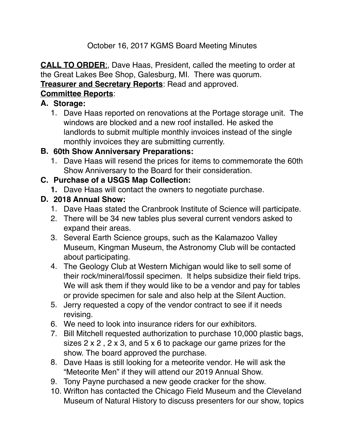# October 16, 2017 KGMS Board Meeting Minutes

**CALL TO ORDER**:, Dave Haas, President, called the meeting to order at the Great Lakes Bee Shop, Galesburg, MI. There was quorum. **Treasurer and Secretary Reports**: Read and approved.

# **Committee Reports**:

#### **A. Storage:**

1. Dave Haas reported on renovations at the Portage storage unit. The windows are blocked and a new roof installed. He asked the landlords to submit multiple monthly invoices instead of the single monthly invoices they are submitting currently.

## **B. 60th Show Anniversary Preparations:**

1. Dave Haas will resend the prices for items to commemorate the 60th Show Anniversary to the Board for their consideration.

#### **C. Purchase of a USGS Map Collection:**

**1.** Dave Haas will contact the owners to negotiate purchase.

### **D. 2018 Annual Show:**

- 1. Dave Haas stated the Cranbrook Institute of Science will participate.
- 2. There will be 34 new tables plus several current vendors asked to expand their areas.
- 3. Several Earth Science groups, such as the Kalamazoo Valley Museum, Kingman Museum, the Astronomy Club will be contacted about participating.
- 4. The Geology Club at Western Michigan would like to sell some of their rock/mineral/fossil specimen. It helps subsidize their field trips. We will ask them if they would like to be a vendor and pay for tables or provide specimen for sale and also help at the Silent Auction.
- 5. Jerry requested a copy of the vendor contract to see if it needs revising.
- 6. We need to look into insurance riders for our exhibitors.
- 7. Bill Mitchell requested authorization to purchase 10,000 plastic bags, sizes 2 x 2 , 2 x 3, and 5 x 6 to package our game prizes for the show. The board approved the purchase.
- 8. Dave Haas is still looking for a meteorite vendor. He will ask the "Meteorite Men" if they will attend our 2019 Annual Show.
- 9. Tony Payne purchased a new geode cracker for the show.
- 10. Wrifton has contacted the Chicago Field Museum and the Cleveland Museum of Natural History to discuss presenters for our show, topics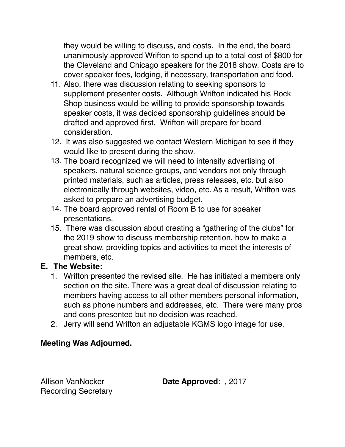they would be willing to discuss, and costs. In the end, the board unanimously approved Wrifton to spend up to a total cost of \$800 for the Cleveland and Chicago speakers for the 2018 show. Costs are to cover speaker fees, lodging, if necessary, transportation and food.

- 11. Also, there was discussion relating to seeking sponsors to supplement presenter costs. Although Wrifton indicated his Rock Shop business would be willing to provide sponsorship towards speaker costs, it was decided sponsorship guidelines should be drafted and approved first. Wrifton will prepare for board consideration.
- 12. It was also suggested we contact Western Michigan to see if they would like to present during the show.
- 13. The board recognized we will need to intensify advertising of speakers, natural science groups, and vendors not only through printed materials, such as articles, press releases, etc. but also electronically through websites, video, etc. As a result, Wrifton was asked to prepare an advertising budget.
- 14. The board approved rental of Room B to use for speaker presentations.
- 15. There was discussion about creating a "gathering of the clubs" for the 2019 show to discuss membership retention, how to make a great show, providing topics and activities to meet the interests of members, etc.

#### **E. The Website:**

- 1. Wrifton presented the revised site. He has initiated a members only section on the site. There was a great deal of discussion relating to members having access to all other members personal information, such as phone numbers and addresses, etc. There were many pros and cons presented but no decision was reached.
- 2. Jerry will send Wrifton an adjustable KGMS logo image for use.

#### **Meeting Was Adjourned.**

Recording Secretary

Allison VanNocker **Date Approved**: , 2017